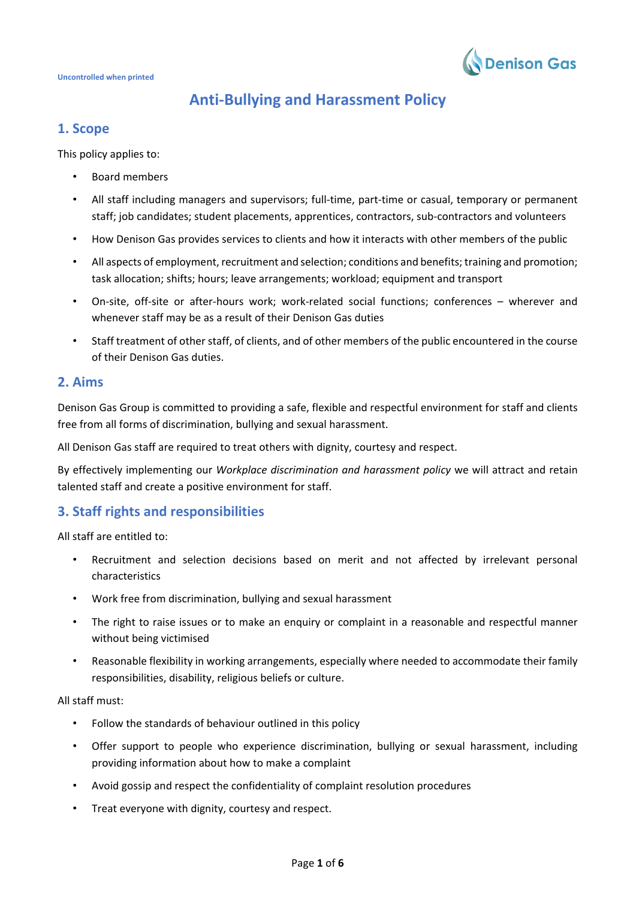

# **Anti-Bullying and Harassment Policy**

# **1. Scope**

This policy applies to:

- Board members
- All staff including managers and supervisors; full-time, part-time or casual, temporary or permanent staff; job candidates; student placements, apprentices, contractors, sub-contractors and volunteers
- How Denison Gas provides services to clients and how it interacts with other members of the public
- All aspects of employment, recruitment and selection; conditions and benefits; training and promotion; task allocation; shifts; hours; leave arrangements; workload; equipment and transport
- On-site, off-site or after-hours work; work-related social functions; conferences wherever and whenever staff may be as a result of their Denison Gas duties
- Staff treatment of other staff, of clients, and of other members of the public encountered in the course of their Denison Gas duties.

# **2. Aims**

Denison Gas Group is committed to providing a safe, flexible and respectful environment for staff and clients free from all forms of discrimination, bullying and sexual harassment.

All Denison Gas staff are required to treat others with dignity, courtesy and respect.

By effectively implementing our *Workplace discrimination and harassment policy* we will attract and retain talented staff and create a positive environment for staff.

# **3. Staff rights and responsibilities**

All staff are entitled to:

- Recruitment and selection decisions based on merit and not affected by irrelevant personal characteristics
- Work free from discrimination, bullying and sexual harassment
- The right to raise issues or to make an enquiry or complaint in a reasonable and respectful manner without being victimised
- Reasonable flexibility in working arrangements, especially where needed to accommodate their family responsibilities, disability, religious beliefs or culture.

All staff must:

- Follow the standards of behaviour outlined in this policy
- Offer support to people who experience discrimination, bullying or sexual harassment, including providing information about how to make a complaint
- Avoid gossip and respect the confidentiality of complaint resolution procedures
- Treat everyone with dignity, courtesy and respect.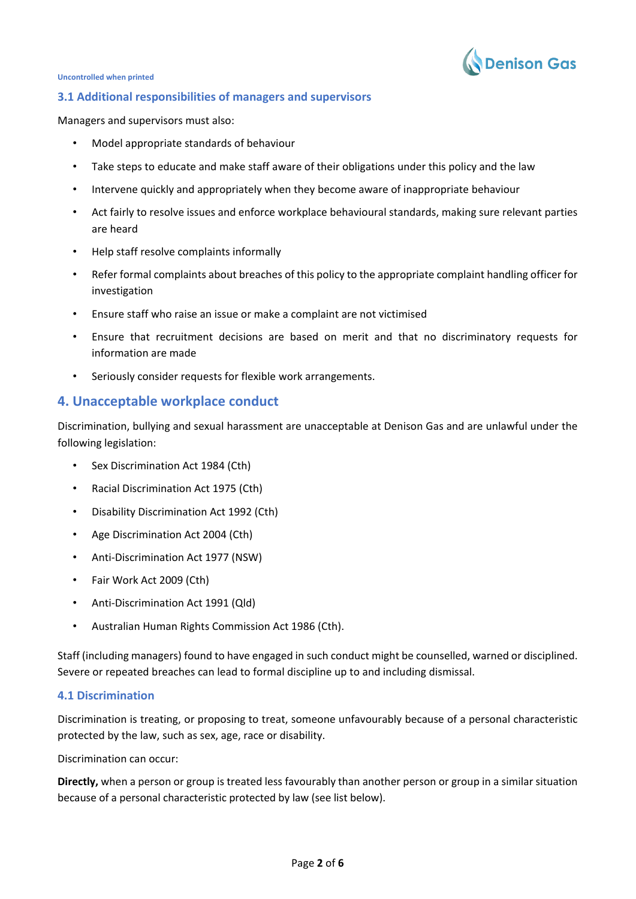

#### **3.1 Additional responsibilities of managers and supervisors**

Managers and supervisors must also:

- Model appropriate standards of behaviour
- Take steps to educate and make staff aware of their obligations under this policy and the law
- Intervene quickly and appropriately when they become aware of inappropriate behaviour
- Act fairly to resolve issues and enforce workplace behavioural standards, making sure relevant parties are heard
- Help staff resolve complaints informally
- Refer formal complaints about breaches of this policy to the appropriate complaint handling officer for investigation
- Ensure staff who raise an issue or make a complaint are not victimised
- Ensure that recruitment decisions are based on merit and that no discriminatory requests for information are made
- Seriously consider requests for flexible work arrangements.

# **4. Unacceptable workplace conduct**

Discrimination, bullying and sexual harassment are unacceptable at Denison Gas and are unlawful under the following legislation:

- Sex Discrimination Act 1984 (Cth)
- Racial Discrimination Act 1975 (Cth)
- Disability Discrimination Act 1992 (Cth)
- Age Discrimination Act 2004 (Cth)
- Anti-Discrimination Act 1977 (NSW)
- Fair Work Act 2009 (Cth)
- Anti-Discrimination Act 1991 (Qld)
- Australian Human Rights Commission Act 1986 (Cth).

Staff (including managers) found to have engaged in such conduct might be counselled, warned or disciplined. Severe or repeated breaches can lead to formal discipline up to and including dismissal.

## **4.1 Discrimination**

Discrimination is treating, or proposing to treat, someone unfavourably because of a personal characteristic protected by the law, such as sex, age, race or disability.

Discrimination can occur:

**Directly,** when a person or group is treated less favourably than another person or group in a similar situation because of a personal characteristic protected by law (see list below).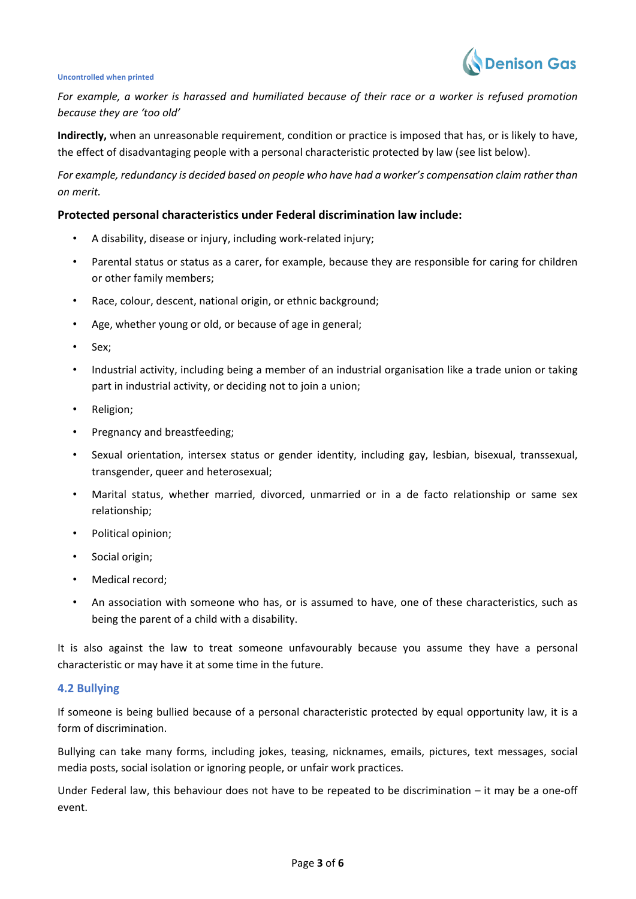

*For example, a worker is harassed and humiliated because of their race or a worker is refused promotion because they are 'too old'*

**Indirectly,** when an unreasonable requirement, condition or practice is imposed that has, or is likely to have, the effect of disadvantaging people with a personal characteristic protected by law (see list below).

*For example, redundancy is decided based on people who have had a worker's compensation claim rather than on merit.*

#### **Protected personal characteristics under Federal discrimination law include:**

- A disability, disease or injury, including work-related injury;
- Parental status or status as a carer, for example, because they are responsible for caring for children or other family members;
- Race, colour, descent, national origin, or ethnic background;
- Age, whether young or old, or because of age in general;
- Sex;
- Industrial activity, including being a member of an industrial organisation like a trade union or taking part in [industrial activity,](http://www.humanrightscommission.vic.gov.au/index.php?option=com_k2&view=item&layout=item&id=730&Itemid=546) or deciding not to join a union;
- Religion;
- [Pregnancy and breastfeeding;](http://www.humanrightscommission.vic.gov.au/index.php?option=com_k2&view=item&layout=item&id=id=1097&Itemid=468)
- Sexual orientation, intersex status or gender identity, including gay, lesbian, bisexual, transsexual, transgender, queer and heterosexual;
- Marital status, whether married, divorced, unmarried or in a de facto relationship or same sex relationship;
- Political opinion;
- Social origin;
- Medical record;
- An association with someone who has, or is assumed to have, one of these characteristics, such as being the parent of a child with a disability.

It is also against the law to treat someone unfavourably because you assume they have a personal characteristic or may have it at some time in the future.

## **4.2 Bullying**

If someone is being bullied because of a personal characteristic protected by equal opportunity law, it is a form of discrimination.

Bullying can take many forms, including jokes, teasing, nicknames, emails, pictures, text messages, social media posts, social isolation or ignoring people, or unfair work practices.

Under Federal law, this behaviour does not have to be repeated to be discrimination – it may be a one-off event.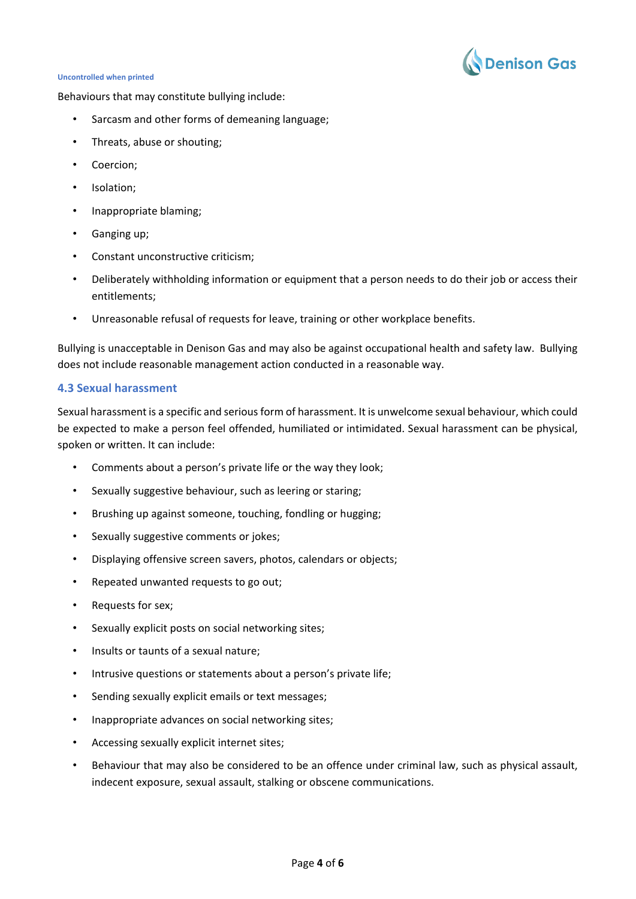

Behaviours that may constitute bullying include:

- Sarcasm and other forms of demeaning language;
- Threats, abuse or shouting;
- Coercion;
- Isolation;
- Inappropriate blaming;
- Ganging up;
- Constant unconstructive criticism;
- Deliberately withholding information or equipment that a person needs to do their job or access their entitlements;
- Unreasonable refusal of requests for leave, training or other workplace benefits.

Bullying is unacceptable in Denison Gas and may also be against occupational health and safety law. Bullying does not include reasonable management action conducted in a reasonable way.

## **4.3 Sexual harassment**

Sexual harassment is a specific and serious form of harassment. It is unwelcome sexual behaviour, which could be expected to make a person feel offended, humiliated or intimidated. Sexual harassment can be physical, spoken or written. It can include:

- Comments about a person's private life or the way they look;
- Sexually suggestive behaviour, such as leering or staring;
- Brushing up against someone, touching, fondling or hugging;
- Sexually suggestive comments or jokes;
- Displaying offensive screen savers, photos, calendars or objects;
- Repeated unwanted requests to go out;
- Requests for sex;
- Sexually explicit posts on social networking sites;
- Insults or taunts of a sexual nature:
- Intrusive questions or statements about a person's private life;
- Sending sexually explicit emails or text messages;
- Inappropriate advances on social networking sites;
- Accessing sexually explicit internet sites;
- Behaviour that may also be considered to be an offence under criminal law, such as physical assault, indecent exposure, sexual assault, stalking or obscene communications.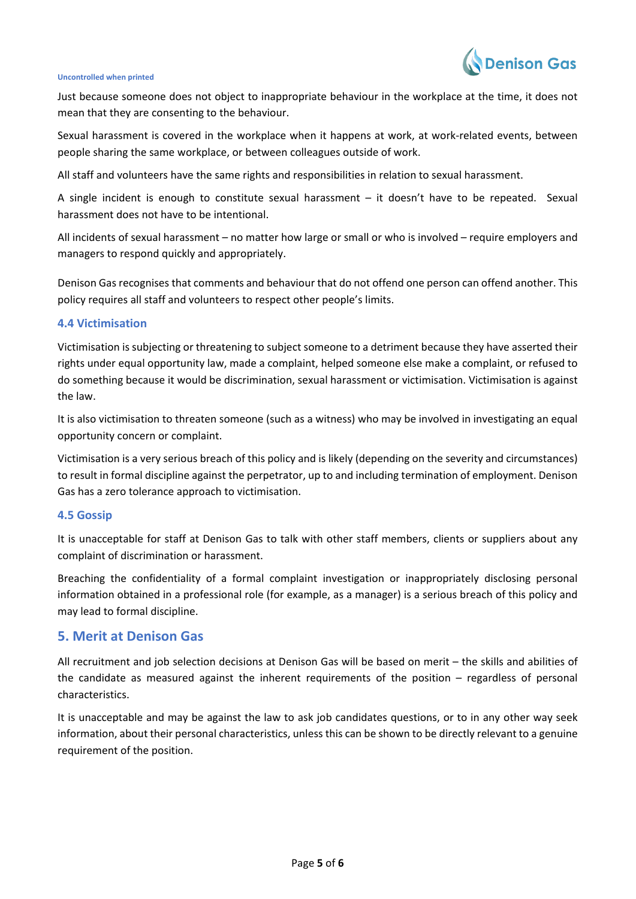

Just because someone does not object to inappropriate behaviour in the workplace at the time, it does not mean that they are consenting to the behaviour.

Sexual harassment is covered in the workplace when it happens at work, at work-related events, between people sharing the same workplace, or between colleagues outside of work.

All staff and volunteers have the same rights and responsibilities in relation to sexual harassment.

A single incident is enough to constitute sexual harassment – it doesn't have to be repeated. Sexual harassment does not have to be intentional.

All incidents of sexual harassment – no matter how large or small or who is involved – require employers and managers to respond quickly and appropriately.

Denison Gas recognises that comments and behaviour that do not offend one person can offend another. This policy requires all staff and volunteers to respect other people's limits.

#### **4.4 Victimisation**

Victimisation is subjecting or threatening to subject someone to a detriment because they have asserted their rights under equal opportunity law, made a complaint, helped someone else make a complaint, or refused to do something because it would be discrimination, sexual harassment or victimisation. Victimisation is against the law.

It is also victimisation to threaten someone (such as a witness) who may be involved in investigating an equal opportunity concern or complaint.

Victimisation is a very serious breach of this policy and is likely (depending on the severity and circumstances) to result in formal discipline against the perpetrator, up to and including termination of employment. Denison Gas has a zero tolerance approach to victimisation.

## **4.5 Gossip**

It is unacceptable for staff at Denison Gas to talk with other staff members, clients or suppliers about any complaint of discrimination or harassment.

Breaching the confidentiality of a formal complaint investigation or inappropriately disclosing personal information obtained in a professional role (for example, as a manager) is a serious breach of this policy and may lead to formal discipline.

# **5. Merit at Denison Gas**

All recruitment and job selection decisions at Denison Gas will be based on merit – the skills and abilities of the candidate as measured against the inherent requirements of the position – regardless of personal characteristics.

It is unacceptable and may be against the law to ask job candidates questions, or to in any other way seek information, about their personal characteristics, unless this can be shown to be directly relevant to a genuine requirement of the position.